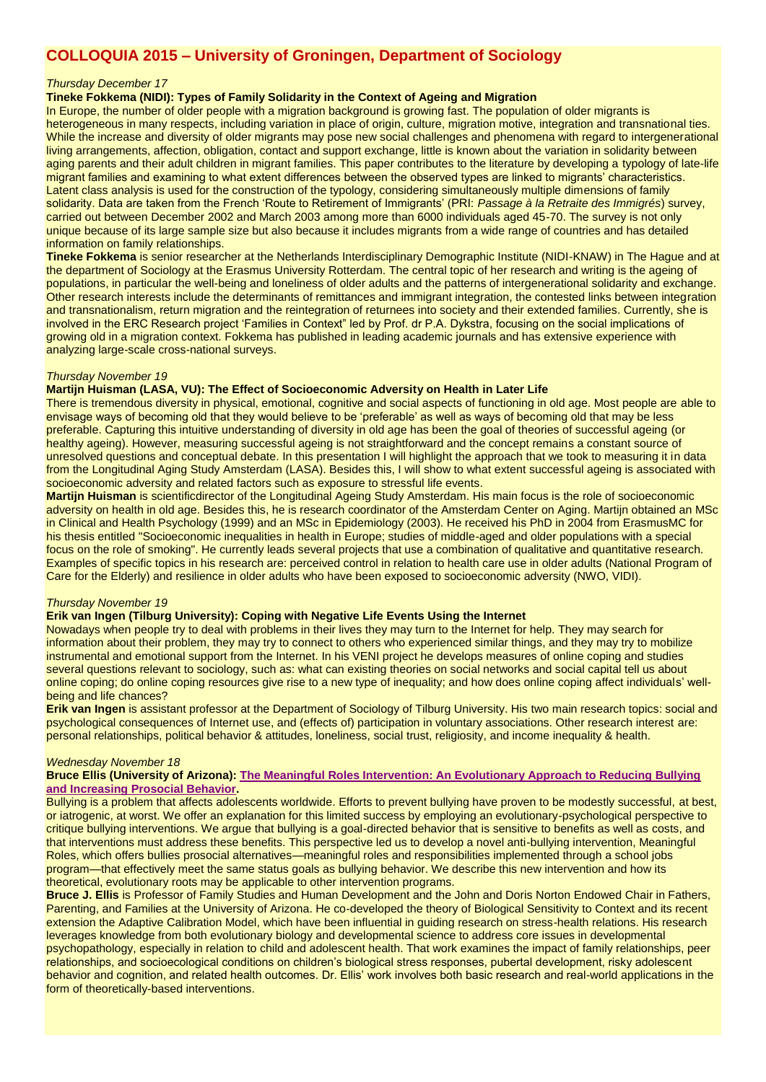# **COLLOQUIA 2015 – University of Groningen, Department of Sociology**

## *Thursday December 17*

# **Tineke Fokkema (NIDI): Types of Family Solidarity in the Context of Ageing and Migration**

In Europe, the number of older people with a migration background is growing fast. The population of older migrants is heterogeneous in many respects, including variation in place of origin, culture, migration motive, integration and transnational ties. While the increase and diversity of older migrants may pose new social challenges and phenomena with regard to intergenerational living arrangements, affection, obligation, contact and support exchange, little is known about the variation in solidarity between aging parents and their adult children in migrant families. This paper contributes to the literature by developing a typology of late-life migrant families and examining to what extent differences between the observed types are linked to migrants' characteristics. Latent class analysis is used for the construction of the typology, considering simultaneously multiple dimensions of family solidarity. Data are taken from the French 'Route to Retirement of Immigrants' (PRI: Passage à la Retraite des Immigrés) survey, carried out between December 2002 and March 2003 among more than 6000 individuals aged 45-70. The survey is not only unique because of its large sample size but also because it includes migrants from a wide range of countries and has detailed information on family relationships.

**Tineke Fokkema** is senior researcher at the Netherlands Interdisciplinary Demographic Institute (NIDI-KNAW) in The Hague and at the department of Sociology at the Erasmus University Rotterdam. The central topic of her research and writing is the ageing of populations, in particular the well-being and loneliness of older adults and the patterns of intergenerational solidarity and exchange. Other research interests include the determinants of remittances and immigrant integration, the contested links between integration and transnationalism, return migration and the reintegration of returnees into society and their extended families. Currently, she is involved in the ERC Research project 'Families in Context" led by Prof. dr P.A. Dykstra, focusing on the social implications of growing old in a migration context. Fokkema has published in leading academic journals and has extensive experience with analyzing large-scale cross-national surveys.

#### *Thursday November 19*

#### **Martijn Huisman (LASA, VU): The Effect of Socioeconomic Adversity on Health in Later Life**

There is tremendous diversity in physical, emotional, cognitive and social aspects of functioning in old age. Most people are able to envisage ways of becoming old that they would believe to be 'preferable' as well as ways of becoming old that may be less preferable. Capturing this intuitive understanding of diversity in old age has been the goal of theories of successful ageing (or healthy ageing). However, measuring successful ageing is not straightforward and the concept remains a constant source of unresolved questions and conceptual debate. In this presentation I will highlight the approach that we took to measuring it in data from the Longitudinal Aging Study Amsterdam (LASA). Besides this, I will show to what extent successful ageing is associated with socioeconomic adversity and related factors such as exposure to stressful life events.

**Martijn Huisman** is scientificdirector of the Longitudinal Ageing Study Amsterdam. His main focus is the role of socioeconomic adversity on health in old age. Besides this, he is research coordinator of the Amsterdam Center on Aging. Martijn obtained an MSc in Clinical and Health Psychology (1999) and an MSc in Epidemiology (2003). He received his PhD in 2004 from ErasmusMC for his thesis entitled "Socioeconomic inequalities in health in Europe; studies of middle-aged and older populations with a special focus on the role of smoking". He currently leads several projects that use a combination of qualitative and quantitative research. Examples of specific topics in his research are: perceived control in relation to health care use in older adults (National Program of Care for the Elderly) and resilience in older adults who have been exposed to socioeconomic adversity (NWO, VIDI).

#### *Thursday November 19*

### **Erik van Ingen (Tilburg University): Coping with Negative Life Events Using the Internet**

Nowadays when people try to deal with problems in their lives they may turn to the Internet for help. They may search for information about their problem, they may try to connect to others who experienced similar things, and they may try to mobilize instrumental and emotional support from the Internet. In his VENI project he develops measures of online coping and studies several questions relevant to sociology, such as: what can existing theories on social networks and social capital tell us about online coping; do online coping resources give rise to a new type of inequality; and how does online coping affect individuals' wellbeing and life chances?

**Erik van Ingen** is assistant professor at the Department of Sociology of Tilburg University. His two main research topics: social and psychological consequences of Internet use, and (effects of) participation in voluntary associations. Other research interest are: personal relationships, political behavior & attitudes, loneliness, social trust, religiosity, and income inequality & health.

#### *Wednesday November 18*

#### **Bruce Ellis (University of Arizona): [The Meaningful Roles Intervention: An Evolutionary Approach to Reducing Bullying](http://onlinelibrary.wiley.com/doi/10.1111/jora.12243/abstract)  [and Increasing Prosocial Behavior.](http://onlinelibrary.wiley.com/doi/10.1111/jora.12243/abstract)**

Bullying is a problem that affects adolescents worldwide. Efforts to prevent bullying have proven to be modestly successful, at best, or iatrogenic, at worst. We offer an explanation for this limited success by employing an evolutionary-psychological perspective to critique bullying interventions. We argue that bullying is a goal-directed behavior that is sensitive to benefits as well as costs, and that interventions must address these benefits. This perspective led us to develop a novel anti-bullying intervention, Meaningful Roles, which offers bullies prosocial alternatives—meaningful roles and responsibilities implemented through a school jobs program—that effectively meet the same status goals as bullying behavior. We describe this new intervention and how its theoretical, evolutionary roots may be applicable to other intervention programs.

**Bruce J. Ellis** is Professor of Family Studies and Human Development and the John and Doris Norton Endowed Chair in Fathers, Parenting, and Families at the University of Arizona. He co-developed the theory of Biological Sensitivity to Context and its recent extension the Adaptive Calibration Model, which have been influential in guiding research on stress-health relations. His research leverages knowledge from both evolutionary biology and developmental science to address core issues in developmental psychopathology, especially in relation to child and adolescent health. That work examines the impact of family relationships, peer relationships, and socioecological conditions on children's biological stress responses, pubertal development, risky adolescent behavior and cognition, and related health outcomes. Dr. Ellis' work involves both basic research and real-world applications in the form of theoretically-based interventions.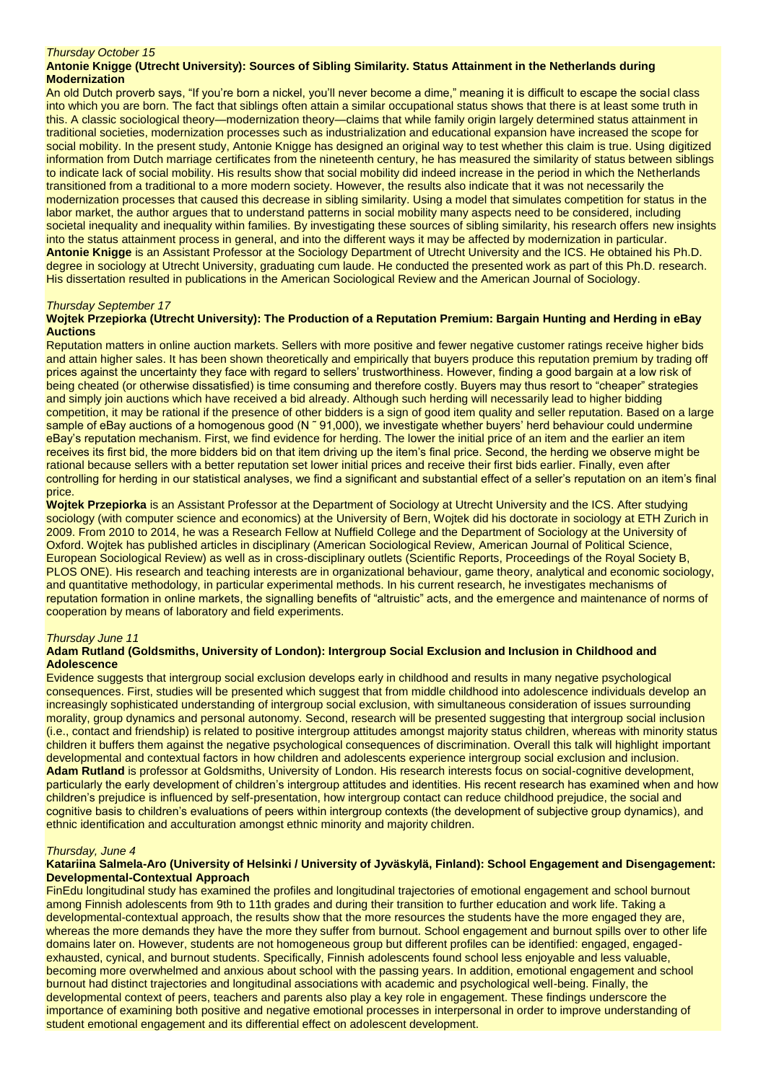#### *Thursday October 15*

## **Antonie Knigge (Utrecht University): Sources of Sibling Similarity. Status Attainment in the Netherlands during Modernization**

An old Dutch proverb says, "If you're born a nickel, you'll never become a dime," meaning it is difficult to escape the social class into which you are born. The fact that siblings often attain a similar occupational status shows that there is at least some truth in this. A classic sociological theory—modernization theory—claims that while family origin largely determined status attainment in traditional societies, modernization processes such as industrialization and educational expansion have increased the scope for social mobility. In the present study, Antonie Knigge has designed an original way to test whether this claim is true. Using digitized information from Dutch marriage certificates from the nineteenth century, he has measured the similarity of status between siblings to indicate lack of social mobility. His results show that social mobility did indeed increase in the period in which the Netherlands transitioned from a traditional to a more modern society. However, the results also indicate that it was not necessarily the modernization processes that caused this decrease in sibling similarity. Using a model that simulates competition for status in the labor market, the author argues that to understand patterns in social mobility many aspects need to be considered, including societal inequality and inequality within families. By investigating these sources of sibling similarity, his research offers new insights into the status attainment process in general, and into the different ways it may be affected by modernization in particular. **Antonie Knigge** is an Assistant Professor at the Sociology Department of Utrecht University and the ICS. He obtained his Ph.D. degree in sociology at Utrecht University, graduating cum laude. He conducted the presented work as part of this Ph.D. research. His dissertation resulted in publications in the American Sociological Review and the American Journal of Sociology.

## *Thursday September 17*

#### **Wojtek Przepiorka (Utrecht University): The Production of a Reputation Premium: Bargain Hunting and Herding in eBay Auctions**

Reputation matters in online auction markets. Sellers with more positive and fewer negative customer ratings receive higher bids and attain higher sales. It has been shown theoretically and empirically that buyers produce this reputation premium by trading off prices against the uncertainty they face with regard to sellers' trustworthiness. However, finding a good bargain at a low risk of being cheated (or otherwise dissatisfied) is time consuming and therefore costly. Buyers may thus resort to "cheaper" strategies and simply join auctions which have received a bid already. Although such herding will necessarily lead to higher bidding competition, it may be rational if the presence of other bidders is a sign of good item quality and seller reputation. Based on a large sample of eBay auctions of a homogenous good (N ~ 91,000), we investigate whether buyers' herd behaviour could undermine eBay's reputation mechanism. First, we find evidence for herding. The lower the initial price of an item and the earlier an item receives its first bid, the more bidders bid on that item driving up the item's final price. Second, the herding we observe might be rational because sellers with a better reputation set lower initial prices and receive their first bids earlier. Finally, even after controlling for herding in our statistical analyses, we find a significant and substantial effect of a seller's reputation on an item's final price.

**Wojtek Przepiorka** is an Assistant Professor at the Department of Sociology at Utrecht University and the ICS. After studying sociology (with computer science and economics) at the University of Bern, Wojtek did his doctorate in sociology at ETH Zurich in 2009. From 2010 to 2014, he was a Research Fellow at Nuffield College and the Department of Sociology at the University of Oxford. Wojtek has published articles in disciplinary (American Sociological Review, American Journal of Political Science, European Sociological Review) as well as in cross-disciplinary outlets (Scientific Reports, Proceedings of the Royal Society B, PLOS ONE). His research and teaching interests are in organizational behaviour, game theory, analytical and economic sociology, and quantitative methodology, in particular experimental methods. In his current research, he investigates mechanisms of reputation formation in online markets, the signalling benefits of "altruistic" acts, and the emergence and maintenance of norms of cooperation by means of laboratory and field experiments.

#### *Thursday June 11*

#### **Adam Rutland (Goldsmiths, University of London): Intergroup Social Exclusion and Inclusion in Childhood and Adolescence**

Evidence suggests that intergroup social exclusion develops early in childhood and results in many negative psychological consequences. First, studies will be presented which suggest that from middle childhood into adolescence individuals develop an increasingly sophisticated understanding of intergroup social exclusion, with simultaneous consideration of issues surrounding morality, group dynamics and personal autonomy. Second, research will be presented suggesting that intergroup social inclusion (i.e., contact and friendship) is related to positive intergroup attitudes amongst majority status children, whereas with minority status children it buffers them against the negative psychological consequences of discrimination. Overall this talk will highlight important developmental and contextual factors in how children and adolescents experience intergroup social exclusion and inclusion. **Adam Rutland** is professor at Goldsmiths, University of London. His research interests focus on social-cognitive development, particularly the early development of children's intergroup attitudes and identities. His recent research has examined when and how children's prejudice is influenced by self-presentation, how intergroup contact can reduce childhood prejudice, the social and cognitive basis to children's evaluations of peers within intergroup contexts (the development of subjective group dynamics), and ethnic identification and acculturation amongst ethnic minority and majority children.

#### *Thursday, June 4*

#### **Katariina Salmela-Aro (University of Helsinki / University of Jyväskylä, Finland): School Engagement and Disengagement: Developmental-Contextual Approach**

FinEdu longitudinal study has examined the profiles and longitudinal trajectories of emotional engagement and school burnout among Finnish adolescents from 9th to 11th grades and during their transition to further education and work life. Taking a developmental-contextual approach, the results show that the more resources the students have the more engaged they are, whereas the more demands they have the more they suffer from burnout. School engagement and burnout spills over to other life domains later on. However, students are not homogeneous group but different profiles can be identified: engaged, engagedexhausted, cynical, and burnout students. Specifically, Finnish adolescents found school less enjoyable and less valuable, becoming more overwhelmed and anxious about school with the passing years. In addition, emotional engagement and school burnout had distinct trajectories and longitudinal associations with academic and psychological well-being. Finally, the developmental context of peers, teachers and parents also play a key role in engagement. These findings underscore the importance of examining both positive and negative emotional processes in interpersonal in order to improve understanding of student emotional engagement and its differential effect on adolescent development.